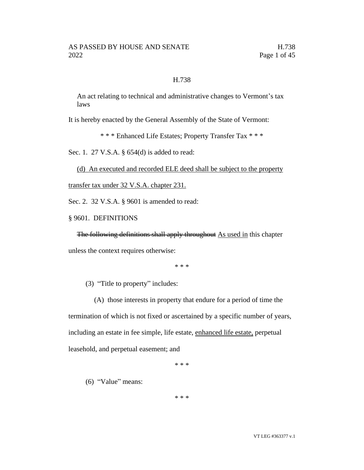#### H.738

An act relating to technical and administrative changes to Vermont's tax laws

It is hereby enacted by the General Assembly of the State of Vermont:

\* \* \* Enhanced Life Estates; Property Transfer Tax \* \* \*

Sec. 1. 27 V.S.A. § 654(d) is added to read:

(d) An executed and recorded ELE deed shall be subject to the property

transfer tax under 32 V.S.A. chapter 231.

Sec. 2. 32 V.S.A. § 9601 is amended to read:

§ 9601. DEFINITIONS

The following definitions shall apply throughout As used in this chapter unless the context requires otherwise:

\* \* \*

(3) "Title to property" includes:

(A) those interests in property that endure for a period of time the termination of which is not fixed or ascertained by a specific number of years, including an estate in fee simple, life estate, enhanced life estate, perpetual leasehold, and perpetual easement; and

\* \* \*

(6) "Value" means:

\* \* \*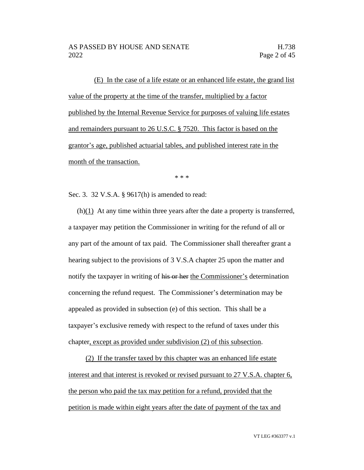(E) In the case of a life estate or an enhanced life estate, the grand list value of the property at the time of the transfer, multiplied by a factor published by the Internal Revenue Service for purposes of valuing life estates and remainders pursuant to 26 U.S.C. § 7520. This factor is based on the grantor's age, published actuarial tables, and published interest rate in the month of the transaction.

\* \* \*

Sec. 3. 32 V.S.A. § 9617(h) is amended to read:

 $(h)(1)$  At any time within three years after the date a property is transferred, a taxpayer may petition the Commissioner in writing for the refund of all or any part of the amount of tax paid. The Commissioner shall thereafter grant a hearing subject to the provisions of 3 V.S.A chapter 25 upon the matter and notify the taxpayer in writing of his or her the Commissioner's determination concerning the refund request. The Commissioner's determination may be appealed as provided in subsection (e) of this section. This shall be a taxpayer's exclusive remedy with respect to the refund of taxes under this chapter, except as provided under subdivision (2) of this subsection.

(2) If the transfer taxed by this chapter was an enhanced life estate interest and that interest is revoked or revised pursuant to 27 V.S.A. chapter 6, the person who paid the tax may petition for a refund, provided that the petition is made within eight years after the date of payment of the tax and

VT LEG #363377 v.1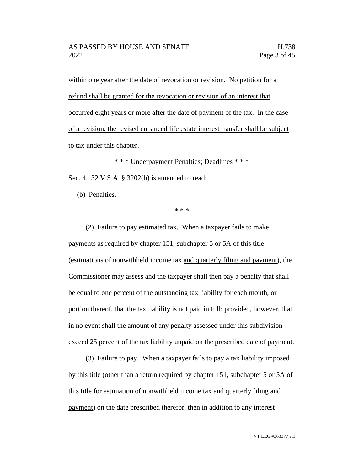within one year after the date of revocation or revision. No petition for a refund shall be granted for the revocation or revision of an interest that occurred eight years or more after the date of payment of the tax. In the case of a revision, the revised enhanced life estate interest transfer shall be subject to tax under this chapter.

\* \* \* Underpayment Penalties; Deadlines \* \* \* Sec. 4. 32 V.S.A. § 3202(b) is amended to read:

(b) Penalties.

\* \* \*

(2) Failure to pay estimated tax. When a taxpayer fails to make payments as required by chapter 151, subchapter 5 or 5A of this title (estimations of nonwithheld income tax and quarterly filing and payment), the Commissioner may assess and the taxpayer shall then pay a penalty that shall be equal to one percent of the outstanding tax liability for each month, or portion thereof, that the tax liability is not paid in full; provided, however, that in no event shall the amount of any penalty assessed under this subdivision exceed 25 percent of the tax liability unpaid on the prescribed date of payment.

(3) Failure to pay. When a taxpayer fails to pay a tax liability imposed by this title (other than a return required by chapter 151, subchapter 5 or 5A of this title for estimation of nonwithheld income tax and quarterly filing and payment) on the date prescribed therefor, then in addition to any interest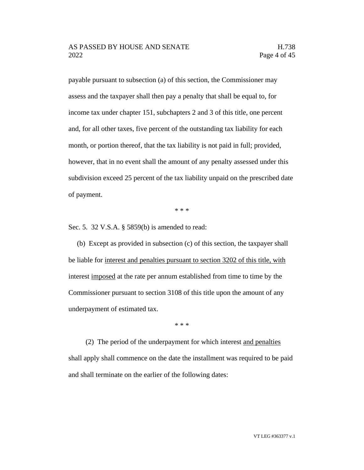payable pursuant to subsection (a) of this section, the Commissioner may assess and the taxpayer shall then pay a penalty that shall be equal to, for income tax under chapter 151, subchapters 2 and 3 of this title, one percent and, for all other taxes, five percent of the outstanding tax liability for each month, or portion thereof, that the tax liability is not paid in full; provided, however, that in no event shall the amount of any penalty assessed under this subdivision exceed 25 percent of the tax liability unpaid on the prescribed date of payment.

\* \* \*

Sec. 5. 32 V.S.A. § 5859(b) is amended to read:

(b) Except as provided in subsection (c) of this section, the taxpayer shall be liable for interest and penalties pursuant to section 3202 of this title, with interest imposed at the rate per annum established from time to time by the Commissioner pursuant to section 3108 of this title upon the amount of any underpayment of estimated tax.

\* \* \*

(2) The period of the underpayment for which interest and penalties shall apply shall commence on the date the installment was required to be paid and shall terminate on the earlier of the following dates: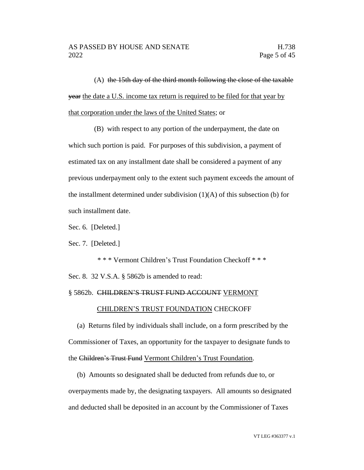(A) the 15th day of the third month following the close of the taxable year the date a U.S. income tax return is required to be filed for that year by that corporation under the laws of the United States; or

(B) with respect to any portion of the underpayment, the date on which such portion is paid. For purposes of this subdivision, a payment of estimated tax on any installment date shall be considered a payment of any previous underpayment only to the extent such payment exceeds the amount of the installment determined under subdivision (1)(A) of this subsection (b) for such installment date.

Sec. 6. [Deleted.]

Sec. 7. [Deleted.]

\* \* \* Vermont Children's Trust Foundation Checkoff \* \* \* Sec. 8. 32 V.S.A. § 5862b is amended to read:

#### § 5862b. CHILDREN'S TRUST FUND ACCOUNT VERMONT

#### CHILDREN'S TRUST FOUNDATION CHECKOFF

(a) Returns filed by individuals shall include, on a form prescribed by the Commissioner of Taxes, an opportunity for the taxpayer to designate funds to the Children's Trust Fund Vermont Children's Trust Foundation.

(b) Amounts so designated shall be deducted from refunds due to, or overpayments made by, the designating taxpayers. All amounts so designated and deducted shall be deposited in an account by the Commissioner of Taxes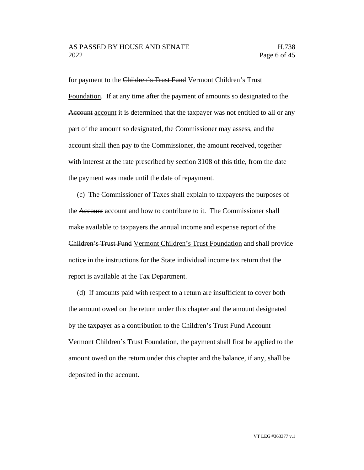for payment to the Children's Trust Fund Vermont Children's Trust Foundation. If at any time after the payment of amounts so designated to the Account account it is determined that the taxpayer was not entitled to all or any part of the amount so designated, the Commissioner may assess, and the account shall then pay to the Commissioner, the amount received, together with interest at the rate prescribed by section 3108 of this title, from the date the payment was made until the date of repayment.

(c) The Commissioner of Taxes shall explain to taxpayers the purposes of the Account account and how to contribute to it. The Commissioner shall make available to taxpayers the annual income and expense report of the Children's Trust Fund Vermont Children's Trust Foundation and shall provide notice in the instructions for the State individual income tax return that the report is available at the Tax Department.

(d) If amounts paid with respect to a return are insufficient to cover both the amount owed on the return under this chapter and the amount designated by the taxpayer as a contribution to the Children's Trust Fund Account Vermont Children's Trust Foundation, the payment shall first be applied to the amount owed on the return under this chapter and the balance, if any, shall be deposited in the account.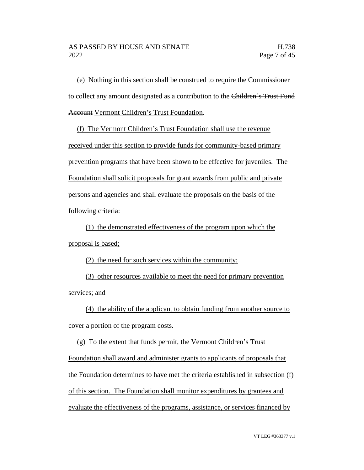## AS PASSED BY HOUSE AND SENATE FOR THE H.738 2022 **Page 7 of 45**

(e) Nothing in this section shall be construed to require the Commissioner to collect any amount designated as a contribution to the Children's Trust Fund Account Vermont Children's Trust Foundation.

(f) The Vermont Children's Trust Foundation shall use the revenue received under this section to provide funds for community-based primary prevention programs that have been shown to be effective for juveniles. The Foundation shall solicit proposals for grant awards from public and private persons and agencies and shall evaluate the proposals on the basis of the following criteria:

(1) the demonstrated effectiveness of the program upon which the proposal is based;

(2) the need for such services within the community;

(3) other resources available to meet the need for primary prevention services; and

(4) the ability of the applicant to obtain funding from another source to cover a portion of the program costs.

(g) To the extent that funds permit, the Vermont Children's Trust Foundation shall award and administer grants to applicants of proposals that the Foundation determines to have met the criteria established in subsection (f) of this section. The Foundation shall monitor expenditures by grantees and evaluate the effectiveness of the programs, assistance, or services financed by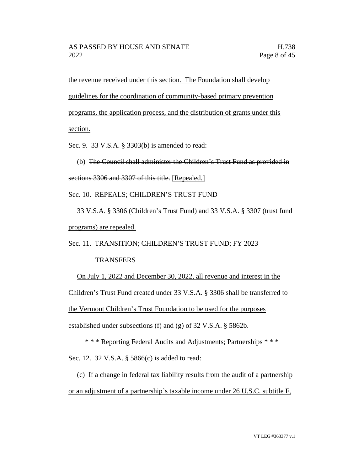the revenue received under this section. The Foundation shall develop guidelines for the coordination of community-based primary prevention programs, the application process, and the distribution of grants under this section.

Sec. 9. 33 V.S.A. § 3303(b) is amended to read:

(b) The Council shall administer the Children's Trust Fund as provided in sections 3306 and 3307 of this title. [Repealed.]

Sec. 10. REPEALS; CHILDREN'S TRUST FUND

33 V.S.A. § 3306 (Children's Trust Fund) and 33 V.S.A. § 3307 (trust fund programs) are repealed.

Sec. 11. TRANSITION; CHILDREN'S TRUST FUND; FY 2023

# **TRANSFERS**

On July 1, 2022 and December 30, 2022, all revenue and interest in the

Children's Trust Fund created under 33 V.S.A. § 3306 shall be transferred to

the Vermont Children's Trust Foundation to be used for the purposes

established under subsections (f) and (g) of 32 V.S.A. § 5862b.

\* \* \* Reporting Federal Audits and Adjustments; Partnerships \* \* \*

Sec. 12. 32 V.S.A. § 5866(c) is added to read:

(c) If a change in federal tax liability results from the audit of a partnership or an adjustment of a partnership's taxable income under 26 U.S.C. subtitle F,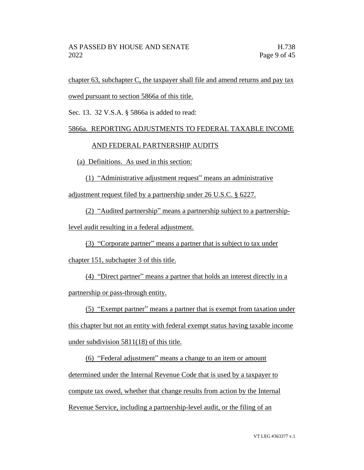chapter 63, subchapter C, the taxpayer shall file and amend returns and pay tax owed pursuant to section 5866a of this title.

Sec. 13. 32 V.S.A. § 5866a is added to read:

# 5866a. REPORTING ADJUSTMENTS TO FEDERAL TAXABLE INCOME

# AND FEDERAL PARTNERSHIP AUDITS

(a) Definitions. As used in this section:

(1) "Administrative adjustment request" means an administrative

adjustment request filed by a partnership under 26 U.S.C. § 6227.

(2) "Audited partnership" means a partnership subject to a partnership-

level audit resulting in a federal adjustment.

(3) "Corporate partner" means a partner that is subject to tax under

chapter 151, subchapter 3 of this title.

(4) "Direct partner" means a partner that holds an interest directly in a partnership or pass-through entity.

(5) "Exempt partner" means a partner that is exempt from taxation under

this chapter but not an entity with federal exempt status having taxable income under subdivision 5811(18) of this title.

(6) "Federal adjustment" means a change to an item or amount determined under the Internal Revenue Code that is used by a taxpayer to compute tax owed, whether that change results from action by the Internal Revenue Service, including a partnership-level audit, or the filing of an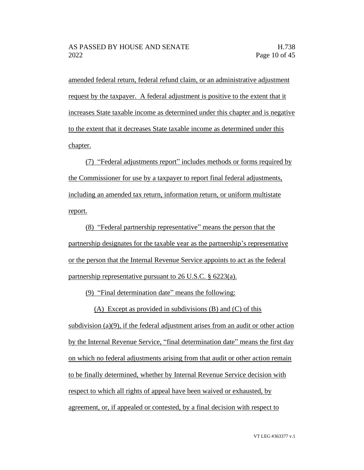amended federal return, federal refund claim, or an administrative adjustment request by the taxpayer. A federal adjustment is positive to the extent that it increases State taxable income as determined under this chapter and is negative to the extent that it decreases State taxable income as determined under this chapter.

(7) "Federal adjustments report" includes methods or forms required by the Commissioner for use by a taxpayer to report final federal adjustments, including an amended tax return, information return, or uniform multistate report.

(8) "Federal partnership representative" means the person that the partnership designates for the taxable year as the partnership's representative or the person that the Internal Revenue Service appoints to act as the federal partnership representative pursuant to 26 U.S.C. § 6223(a).

(9) "Final determination date" means the following:

(A) Except as provided in subdivisions (B) and (C) of this

subdivision (a) $(9)$ , if the federal adjustment arises from an audit or other action by the Internal Revenue Service, "final determination date" means the first day on which no federal adjustments arising from that audit or other action remain to be finally determined, whether by Internal Revenue Service decision with respect to which all rights of appeal have been waived or exhausted, by agreement, or, if appealed or contested, by a final decision with respect to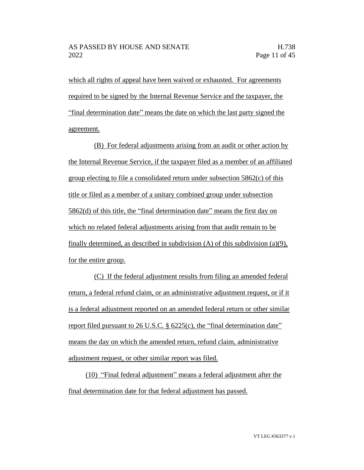which all rights of appeal have been waived or exhausted. For agreements required to be signed by the Internal Revenue Service and the taxpayer, the "final determination date" means the date on which the last party signed the agreement.

(B) For federal adjustments arising from an audit or other action by the Internal Revenue Service, if the taxpayer filed as a member of an affiliated group electing to file a consolidated return under subsection 5862(c) of this title or filed as a member of a unitary combined group under subsection 5862(d) of this title, the "final determination date" means the first day on which no related federal adjustments arising from that audit remain to be finally determined, as described in subdivision (A) of this subdivision (a)(9), for the entire group.

(C) If the federal adjustment results from filing an amended federal return, a federal refund claim, or an administrative adjustment request, or if it is a federal adjustment reported on an amended federal return or other similar report filed pursuant to 26 U.S.C. § 6225(c), the "final determination date" means the day on which the amended return, refund claim, administrative adjustment request, or other similar report was filed.

(10) "Final federal adjustment" means a federal adjustment after the final determination date for that federal adjustment has passed.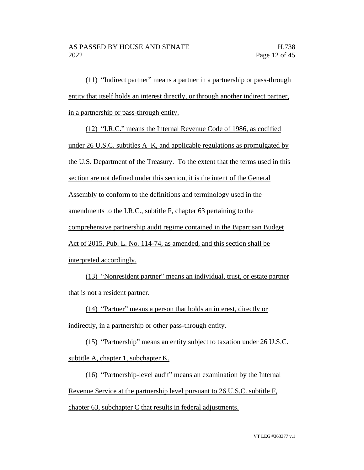(11) "Indirect partner" means a partner in a partnership or pass-through entity that itself holds an interest directly, or through another indirect partner, in a partnership or pass-through entity.

(12) "I.R.C." means the Internal Revenue Code of 1986, as codified under 26 U.S.C. subtitles A–K, and applicable regulations as promulgated by the U.S. Department of the Treasury. To the extent that the terms used in this section are not defined under this section, it is the intent of the General Assembly to conform to the definitions and terminology used in the amendments to the I.R.C., subtitle F, chapter 63 pertaining to the comprehensive partnership audit regime contained in the Bipartisan Budget Act of 2015, Pub. L. No. 114-74, as amended, and this section shall be interpreted accordingly.

(13) "Nonresident partner" means an individual, trust, or estate partner that is not a resident partner.

(14) "Partner" means a person that holds an interest, directly or

indirectly, in a partnership or other pass-through entity.

(15) "Partnership" means an entity subject to taxation under 26 U.S.C. subtitle A, chapter 1, subchapter K.

(16) "Partnership-level audit" means an examination by the Internal Revenue Service at the partnership level pursuant to 26 U.S.C. subtitle F, chapter 63, subchapter C that results in federal adjustments.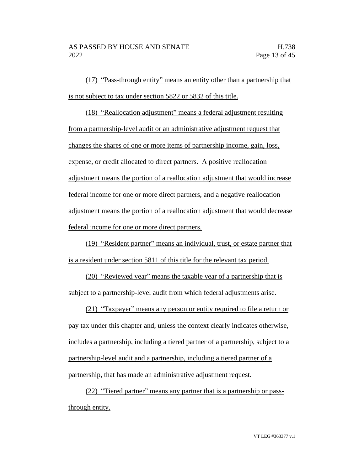(17) "Pass-through entity" means an entity other than a partnership that is not subject to tax under section 5822 or 5832 of this title.

(18) "Reallocation adjustment" means a federal adjustment resulting from a partnership-level audit or an administrative adjustment request that changes the shares of one or more items of partnership income, gain, loss, expense, or credit allocated to direct partners. A positive reallocation adjustment means the portion of a reallocation adjustment that would increase federal income for one or more direct partners, and a negative reallocation adjustment means the portion of a reallocation adjustment that would decrease federal income for one or more direct partners.

(19) "Resident partner" means an individual, trust, or estate partner that is a resident under section 5811 of this title for the relevant tax period.

(20) "Reviewed year" means the taxable year of a partnership that is subject to a partnership-level audit from which federal adjustments arise.

(21) "Taxpayer" means any person or entity required to file a return or pay tax under this chapter and, unless the context clearly indicates otherwise, includes a partnership, including a tiered partner of a partnership, subject to a partnership-level audit and a partnership, including a tiered partner of a partnership, that has made an administrative adjustment request.

(22) "Tiered partner" means any partner that is a partnership or passthrough entity.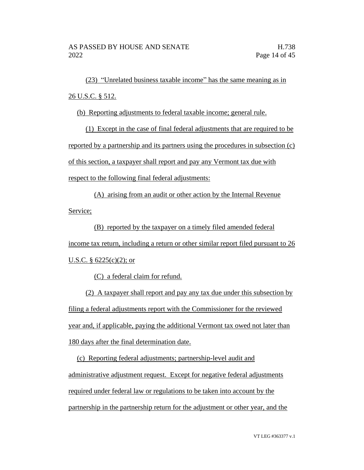(23) "Unrelated business taxable income" has the same meaning as in 26 U.S.C. § 512.

(b) Reporting adjustments to federal taxable income; general rule.

(1) Except in the case of final federal adjustments that are required to be reported by a partnership and its partners using the procedures in subsection (c) of this section, a taxpayer shall report and pay any Vermont tax due with respect to the following final federal adjustments:

(A) arising from an audit or other action by the Internal Revenue Service;

(B) reported by the taxpayer on a timely filed amended federal income tax return, including a return or other similar report filed pursuant to 26 U.S.C. § 6225(c)(2); or

(C) a federal claim for refund.

(2) A taxpayer shall report and pay any tax due under this subsection by filing a federal adjustments report with the Commissioner for the reviewed year and, if applicable, paying the additional Vermont tax owed not later than 180 days after the final determination date.

(c) Reporting federal adjustments; partnership-level audit and administrative adjustment request. Except for negative federal adjustments required under federal law or regulations to be taken into account by the partnership in the partnership return for the adjustment or other year, and the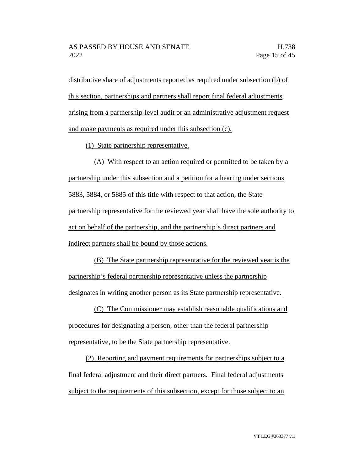distributive share of adjustments reported as required under subsection (b) of this section, partnerships and partners shall report final federal adjustments arising from a partnership-level audit or an administrative adjustment request and make payments as required under this subsection (c).

(1) State partnership representative.

(A) With respect to an action required or permitted to be taken by a partnership under this subsection and a petition for a hearing under sections 5883, 5884, or 5885 of this title with respect to that action, the State partnership representative for the reviewed year shall have the sole authority to act on behalf of the partnership, and the partnership's direct partners and indirect partners shall be bound by those actions.

(B) The State partnership representative for the reviewed year is the partnership's federal partnership representative unless the partnership designates in writing another person as its State partnership representative.

(C) The Commissioner may establish reasonable qualifications and procedures for designating a person, other than the federal partnership representative, to be the State partnership representative.

(2) Reporting and payment requirements for partnerships subject to a final federal adjustment and their direct partners. Final federal adjustments subject to the requirements of this subsection, except for those subject to an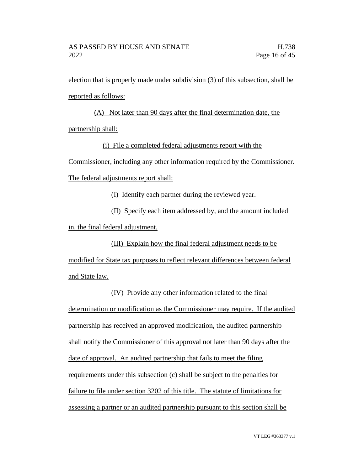election that is properly made under subdivision (3) of this subsection, shall be reported as follows:

(A) Not later than 90 days after the final determination date, the partnership shall:

(i) File a completed federal adjustments report with the

Commissioner, including any other information required by the Commissioner.

The federal adjustments report shall:

(I) Identify each partner during the reviewed year.

(II) Specify each item addressed by, and the amount included in, the final federal adjustment.

(III) Explain how the final federal adjustment needs to be modified for State tax purposes to reflect relevant differences between federal and State law.

(IV) Provide any other information related to the final determination or modification as the Commissioner may require. If the audited partnership has received an approved modification, the audited partnership shall notify the Commissioner of this approval not later than 90 days after the date of approval. An audited partnership that fails to meet the filing requirements under this subsection (c) shall be subject to the penalties for failure to file under section 3202 of this title. The statute of limitations for assessing a partner or an audited partnership pursuant to this section shall be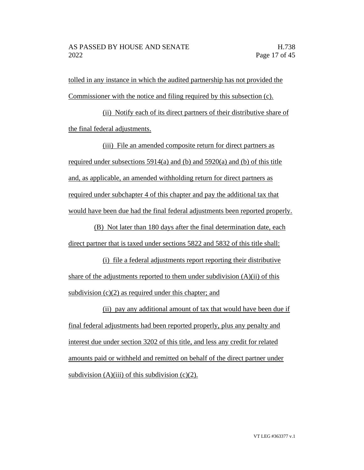tolled in any instance in which the audited partnership has not provided the Commissioner with the notice and filing required by this subsection (c).

(ii) Notify each of its direct partners of their distributive share of the final federal adjustments.

(iii) File an amended composite return for direct partners as required under subsections 5914(a) and (b) and 5920(a) and (b) of this title and, as applicable, an amended withholding return for direct partners as required under subchapter 4 of this chapter and pay the additional tax that would have been due had the final federal adjustments been reported properly.

(B) Not later than 180 days after the final determination date, each direct partner that is taxed under sections 5822 and 5832 of this title shall:

(i) file a federal adjustments report reporting their distributive share of the adjustments reported to them under subdivision  $(A)(ii)$  of this subdivision (c)(2) as required under this chapter; and

(ii) pay any additional amount of tax that would have been due if final federal adjustments had been reported properly, plus any penalty and interest due under section 3202 of this title, and less any credit for related amounts paid or withheld and remitted on behalf of the direct partner under subdivision  $(A)$ (iii) of this subdivision (c)(2).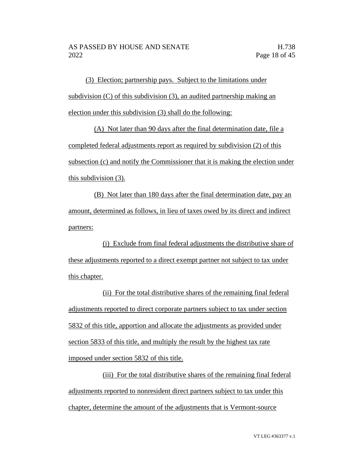(3) Election; partnership pays. Subject to the limitations under subdivision (C) of this subdivision (3), an audited partnership making an election under this subdivision (3) shall do the following:

(A) Not later than 90 days after the final determination date, file a completed federal adjustments report as required by subdivision (2) of this subsection (c) and notify the Commissioner that it is making the election under this subdivision (3).

(B) Not later than 180 days after the final determination date, pay an amount, determined as follows, in lieu of taxes owed by its direct and indirect partners:

(i) Exclude from final federal adjustments the distributive share of these adjustments reported to a direct exempt partner not subject to tax under this chapter.

(ii) For the total distributive shares of the remaining final federal adjustments reported to direct corporate partners subject to tax under section 5832 of this title, apportion and allocate the adjustments as provided under section 5833 of this title, and multiply the result by the highest tax rate imposed under section 5832 of this title.

(iii) For the total distributive shares of the remaining final federal adjustments reported to nonresident direct partners subject to tax under this chapter, determine the amount of the adjustments that is Vermont-source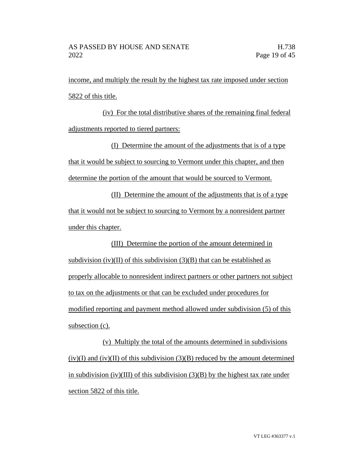income, and multiply the result by the highest tax rate imposed under section 5822 of this title.

(iv) For the total distributive shares of the remaining final federal adjustments reported to tiered partners:

(I) Determine the amount of the adjustments that is of a type that it would be subject to sourcing to Vermont under this chapter, and then determine the portion of the amount that would be sourced to Vermont.

(II) Determine the amount of the adjustments that is of a type that it would not be subject to sourcing to Vermont by a nonresident partner under this chapter.

(III) Determine the portion of the amount determined in subdivision (iv)(II) of this subdivision  $(3)(B)$  that can be established as properly allocable to nonresident indirect partners or other partners not subject to tax on the adjustments or that can be excluded under procedures for modified reporting and payment method allowed under subdivision (5) of this subsection (c).

(v) Multiply the total of the amounts determined in subdivisions  $(iv)(I)$  and  $(iv)(II)$  of this subdivision  $(3)(B)$  reduced by the amount determined in subdivision (iv)(III) of this subdivision  $(3)(B)$  by the highest tax rate under section 5822 of this title.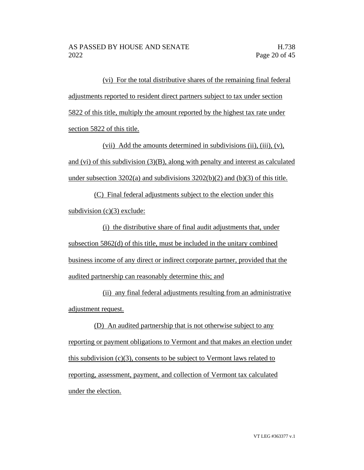(vi) For the total distributive shares of the remaining final federal adjustments reported to resident direct partners subject to tax under section 5822 of this title, multiply the amount reported by the highest tax rate under section 5822 of this title.

(vii) Add the amounts determined in subdivisions (ii), (iii), (v), and (vi) of this subdivision  $(3)(B)$ , along with penalty and interest as calculated under subsection 3202(a) and subdivisions 3202(b)(2) and (b)(3) of this title.

(C) Final federal adjustments subject to the election under this subdivision  $(c)(3)$  exclude:

(i) the distributive share of final audit adjustments that, under subsection 5862(d) of this title, must be included in the unitary combined business income of any direct or indirect corporate partner, provided that the audited partnership can reasonably determine this; and

(ii) any final federal adjustments resulting from an administrative adjustment request.

(D) An audited partnership that is not otherwise subject to any reporting or payment obligations to Vermont and that makes an election under this subdivision (c)(3), consents to be subject to Vermont laws related to reporting, assessment, payment, and collection of Vermont tax calculated under the election.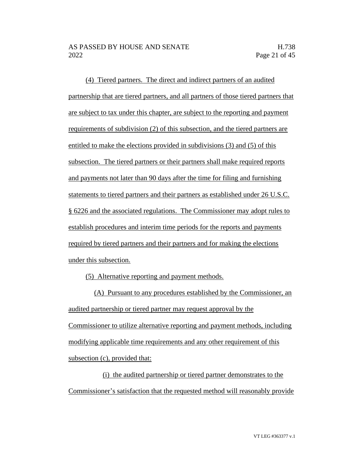(4) Tiered partners. The direct and indirect partners of an audited partnership that are tiered partners, and all partners of those tiered partners that are subject to tax under this chapter, are subject to the reporting and payment requirements of subdivision (2) of this subsection, and the tiered partners are entitled to make the elections provided in subdivisions (3) and (5) of this subsection. The tiered partners or their partners shall make required reports and payments not later than 90 days after the time for filing and furnishing statements to tiered partners and their partners as established under 26 U.S.C. § 6226 and the associated regulations. The Commissioner may adopt rules to establish procedures and interim time periods for the reports and payments required by tiered partners and their partners and for making the elections under this subsection.

(5) Alternative reporting and payment methods.

(A) Pursuant to any procedures established by the Commissioner, an audited partnership or tiered partner may request approval by the Commissioner to utilize alternative reporting and payment methods, including modifying applicable time requirements and any other requirement of this subsection (c), provided that:

(i) the audited partnership or tiered partner demonstrates to the Commissioner's satisfaction that the requested method will reasonably provide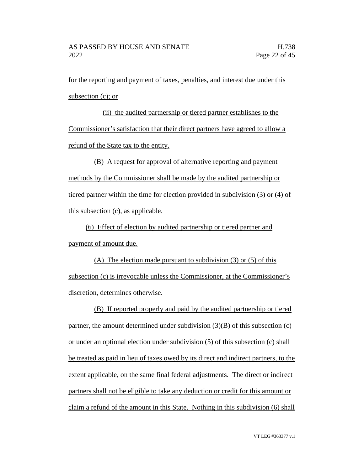for the reporting and payment of taxes, penalties, and interest due under this subsection (c); or

(ii) the audited partnership or tiered partner establishes to the Commissioner's satisfaction that their direct partners have agreed to allow a refund of the State tax to the entity.

(B) A request for approval of alternative reporting and payment methods by the Commissioner shall be made by the audited partnership or tiered partner within the time for election provided in subdivision (3) or (4) of this subsection (c), as applicable.

(6) Effect of election by audited partnership or tiered partner and payment of amount due.

(A) The election made pursuant to subdivision (3) or (5) of this subsection (c) is irrevocable unless the Commissioner, at the Commissioner's discretion, determines otherwise.

(B) If reported properly and paid by the audited partnership or tiered partner, the amount determined under subdivision  $(3)(B)$  of this subsection  $(c)$ or under an optional election under subdivision (5) of this subsection (c) shall be treated as paid in lieu of taxes owed by its direct and indirect partners, to the extent applicable, on the same final federal adjustments. The direct or indirect partners shall not be eligible to take any deduction or credit for this amount or claim a refund of the amount in this State. Nothing in this subdivision (6) shall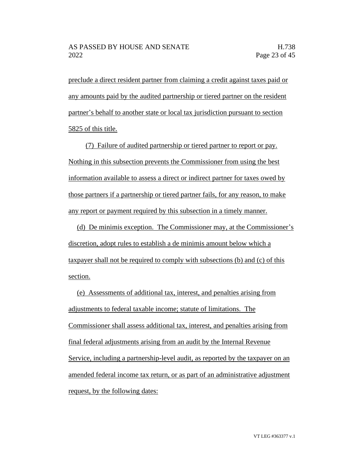preclude a direct resident partner from claiming a credit against taxes paid or any amounts paid by the audited partnership or tiered partner on the resident partner's behalf to another state or local tax jurisdiction pursuant to section 5825 of this title.

(7) Failure of audited partnership or tiered partner to report or pay. Nothing in this subsection prevents the Commissioner from using the best information available to assess a direct or indirect partner for taxes owed by those partners if a partnership or tiered partner fails, for any reason, to make any report or payment required by this subsection in a timely manner.

(d) De minimis exception. The Commissioner may, at the Commissioner's discretion, adopt rules to establish a de minimis amount below which a taxpayer shall not be required to comply with subsections (b) and (c) of this section.

(e) Assessments of additional tax, interest, and penalties arising from adjustments to federal taxable income; statute of limitations. The Commissioner shall assess additional tax, interest, and penalties arising from final federal adjustments arising from an audit by the Internal Revenue Service, including a partnership-level audit, as reported by the taxpayer on an amended federal income tax return, or as part of an administrative adjustment request, by the following dates: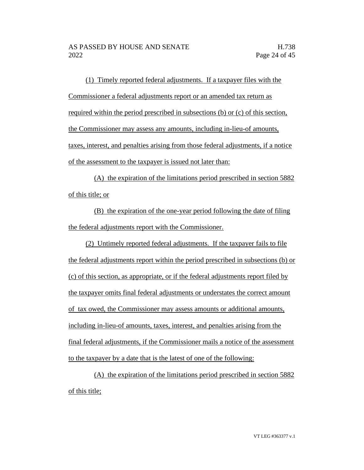(1) Timely reported federal adjustments. If a taxpayer files with the Commissioner a federal adjustments report or an amended tax return as required within the period prescribed in subsections (b) or (c) of this section, the Commissioner may assess any amounts, including in-lieu-of amounts, taxes, interest, and penalties arising from those federal adjustments, if a notice of the assessment to the taxpayer is issued not later than:

(A) the expiration of the limitations period prescribed in section 5882 of this title; or

(B) the expiration of the one-year period following the date of filing the federal adjustments report with the Commissioner.

(2) Untimely reported federal adjustments. If the taxpayer fails to file the federal adjustments report within the period prescribed in subsections (b) or (c) of this section, as appropriate, or if the federal adjustments report filed by the taxpayer omits final federal adjustments or understates the correct amount of tax owed, the Commissioner may assess amounts or additional amounts, including in-lieu-of amounts, taxes, interest, and penalties arising from the final federal adjustments, if the Commissioner mails a notice of the assessment to the taxpayer by a date that is the latest of one of the following:

(A) the expiration of the limitations period prescribed in section 5882 of this title;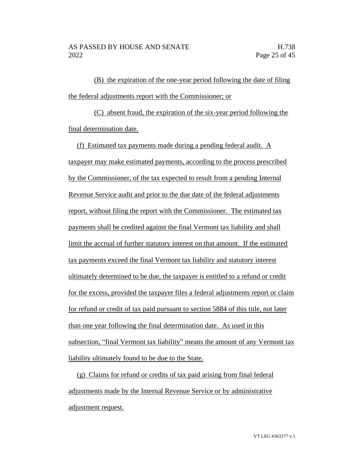(B) the expiration of the one-year period following the date of filing the federal adjustments report with the Commissioner; or

(C) absent fraud, the expiration of the six-year period following the final determination date.

(f) Estimated tax payments made during a pending federal audit. A taxpayer may make estimated payments, according to the process prescribed by the Commissioner, of the tax expected to result from a pending Internal Revenue Service audit and prior to the due date of the federal adjustments report, without filing the report with the Commissioner. The estimated tax payments shall be credited against the final Vermont tax liability and shall limit the accrual of further statutory interest on that amount. If the estimated tax payments exceed the final Vermont tax liability and statutory interest ultimately determined to be due, the taxpayer is entitled to a refund or credit for the excess, provided the taxpayer files a federal adjustments report or claim for refund or credit of tax paid pursuant to section 5884 of this title, not later than one year following the final determination date. As used in this subsection, "final Vermont tax liability" means the amount of any Vermont tax liability ultimately found to be due to the State.

(g) Claims for refund or credits of tax paid arising from final federal adjustments made by the Internal Revenue Service or by administrative adjustment request.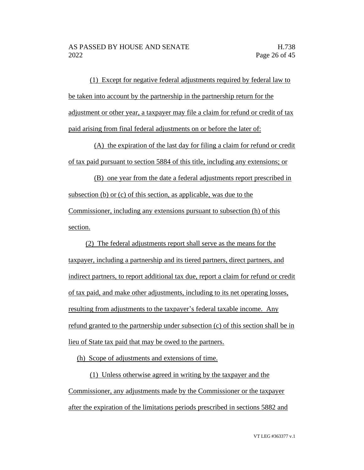(1) Except for negative federal adjustments required by federal law to be taken into account by the partnership in the partnership return for the adjustment or other year, a taxpayer may file a claim for refund or credit of tax paid arising from final federal adjustments on or before the later of:

(A) the expiration of the last day for filing a claim for refund or credit of tax paid pursuant to section 5884 of this title, including any extensions; or

(B) one year from the date a federal adjustments report prescribed in subsection (b) or (c) of this section, as applicable, was due to the Commissioner, including any extensions pursuant to subsection (h) of this section.

(2) The federal adjustments report shall serve as the means for the taxpayer, including a partnership and its tiered partners, direct partners, and indirect partners, to report additional tax due, report a claim for refund or credit of tax paid, and make other adjustments, including to its net operating losses, resulting from adjustments to the taxpayer's federal taxable income. Any refund granted to the partnership under subsection (c) of this section shall be in lieu of State tax paid that may be owed to the partners.

(h) Scope of adjustments and extensions of time.

(1) Unless otherwise agreed in writing by the taxpayer and the Commissioner, any adjustments made by the Commissioner or the taxpayer after the expiration of the limitations periods prescribed in sections 5882 and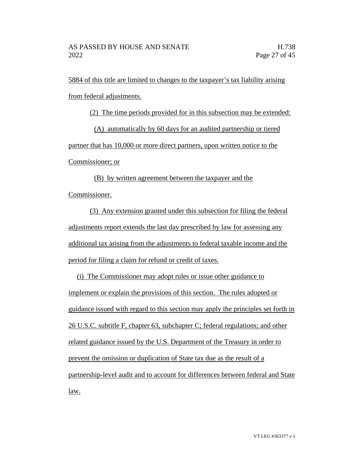5884 of this title are limited to changes to the taxpayer's tax liability arising from federal adjustments.

(2) The time periods provided for in this subsection may be extended:

(A) automatically by 60 days for an audited partnership or tiered

partner that has 10,000 or more direct partners, upon written notice to the

Commissioner; or

(B) by written agreement between the taxpayer and the Commissioner.

(3) Any extension granted under this subsection for filing the federal adjustments report extends the last day prescribed by law for assessing any additional tax arising from the adjustments to federal taxable income and the period for filing a claim for refund or credit of taxes.

(i) The Commissioner may adopt rules or issue other guidance to implement or explain the provisions of this section. The rules adopted or guidance issued with regard to this section may apply the principles set forth in 26 U.S.C. subtitle F, chapter 63, subchapter C; federal regulations; and other related guidance issued by the U.S. Department of the Treasury in order to prevent the omission or duplication of State tax due as the result of a partnership-level audit and to account for differences between federal and State law.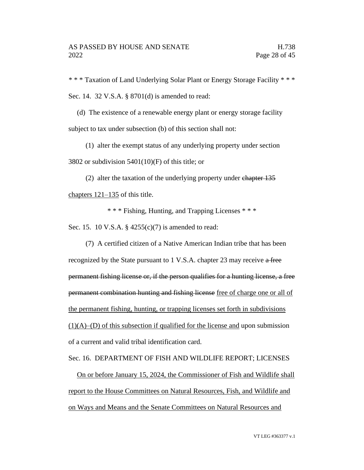\* \* \* Taxation of Land Underlying Solar Plant or Energy Storage Facility \* \* \* Sec. 14. 32 V.S.A. § 8701(d) is amended to read:

(d) The existence of a renewable energy plant or energy storage facility subject to tax under subsection (b) of this section shall not:

(1) alter the exempt status of any underlying property under section 3802 or subdivision  $5401(10)$ (F) of this title; or

(2) alter the taxation of the underlying property under chapter 135 chapters 121–135 of this title.

\* \* \* Fishing, Hunting, and Trapping Licenses \* \* \*

Sec. 15. 10 V.S.A. § 4255(c)(7) is amended to read:

(7) A certified citizen of a Native American Indian tribe that has been recognized by the State pursuant to 1 V.S.A. chapter 23 may receive a free permanent fishing license or, if the person qualifies for a hunting license, a free permanent combination hunting and fishing license free of charge one or all of the permanent fishing, hunting, or trapping licenses set forth in subdivisions  $(1)(A)$ –(D) of this subsection if qualified for the license and upon submission of a current and valid tribal identification card.

Sec. 16. DEPARTMENT OF FISH AND WILDLIFE REPORT; LICENSES

On or before January 15, 2024, the Commissioner of Fish and Wildlife shall report to the House Committees on Natural Resources, Fish, and Wildlife and on Ways and Means and the Senate Committees on Natural Resources and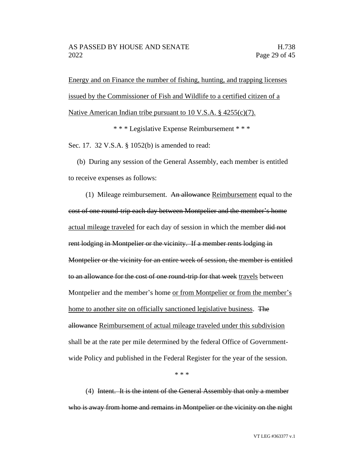Energy and on Finance the number of fishing, hunting, and trapping licenses issued by the Commissioner of Fish and Wildlife to a certified citizen of a Native American Indian tribe pursuant to 10 V.S.A. § 4255(c)(7).

\* \* \* Legislative Expense Reimbursement \* \* \*

Sec. 17. 32 V.S.A. § 1052(b) is amended to read:

(b) During any session of the General Assembly, each member is entitled to receive expenses as follows:

(1) Mileage reimbursement. An allowance Reimbursement equal to the cost of one round-trip each day between Montpelier and the member's home actual mileage traveled for each day of session in which the member did not rent lodging in Montpelier or the vicinity. If a member rents lodging in Montpelier or the vicinity for an entire week of session, the member is entitled to an allowance for the cost of one round-trip for that week travels between Montpelier and the member's home <u>or from Montpelier or from the member's</u> home to another site on officially sanctioned legislative business. The allowance Reimbursement of actual mileage traveled under this subdivision shall be at the rate per mile determined by the federal Office of Governmentwide Policy and published in the Federal Register for the year of the session.

\* \* \*

(4) Intent. It is the intent of the General Assembly that only a member who is away from home and remains in Montpelier or the vicinity on the night

VT LEG #363377 v.1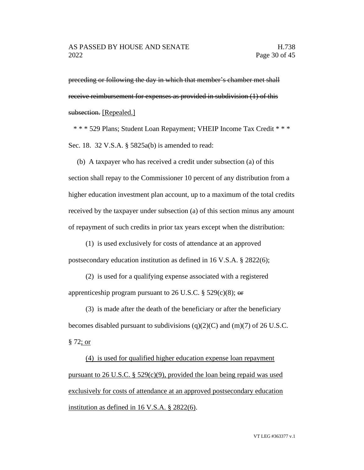preceding or following the day in which that member's chamber met shall receive reimbursement for expenses as provided in subdivision (1) of this subsection. [Repealed.]

\* \* \* 529 Plans; Student Loan Repayment; VHEIP Income Tax Credit \* \* \* Sec. 18. 32 V.S.A. § 5825a(b) is amended to read:

(b) A taxpayer who has received a credit under subsection (a) of this section shall repay to the Commissioner 10 percent of any distribution from a higher education investment plan account, up to a maximum of the total credits received by the taxpayer under subsection (a) of this section minus any amount of repayment of such credits in prior tax years except when the distribution:

(1) is used exclusively for costs of attendance at an approved postsecondary education institution as defined in 16 V.S.A. § 2822(6);

(2) is used for a qualifying expense associated with a registered apprenticeship program pursuant to 26 U.S.C. § 529(c)(8);  $\Theta$ 

(3) is made after the death of the beneficiary or after the beneficiary becomes disabled pursuant to subdivisions  $(q)(2)(C)$  and  $(m)(7)$  of 26 U.S.C. § 72; or

(4) is used for qualified higher education expense loan repayment pursuant to 26 U.S.C.  $\S$  529(c)(9), provided the loan being repaid was used exclusively for costs of attendance at an approved postsecondary education institution as defined in 16 V.S.A. § 2822(6).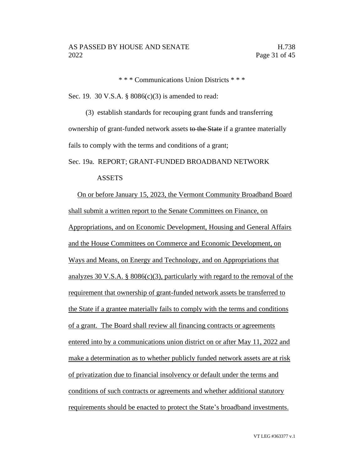\* \* \* Communications Union Districts \* \* \*

Sec. 19. 30 V.S.A. § 8086(c)(3) is amended to read:

(3) establish standards for recouping grant funds and transferring ownership of grant-funded network assets to the State if a grantee materially fails to comply with the terms and conditions of a grant;

#### Sec. 19a. REPORT; GRANT-FUNDED BROADBAND NETWORK

#### **ASSETS**

 On or before January 15, 2023, the Vermont Community Broadband Board shall submit a written report to the Senate Committees on Finance, on Appropriations, and on Economic Development, Housing and General Affairs and the House Committees on Commerce and Economic Development, on Ways and Means, on Energy and Technology, and on Appropriations that analyzes 30 V.S.A. § 8086(c)(3), particularly with regard to the removal of the requirement that ownership of grant-funded network assets be transferred to the State if a grantee materially fails to comply with the terms and conditions of a grant. The Board shall review all financing contracts or agreements entered into by a communications union district on or after May 11, 2022 and make a determination as to whether publicly funded network assets are at risk of privatization due to financial insolvency or default under the terms and conditions of such contracts or agreements and whether additional statutory requirements should be enacted to protect the State's broadband investments.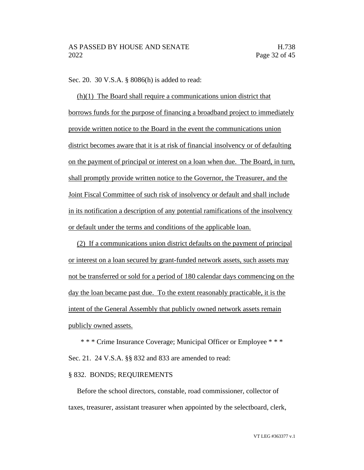Sec. 20. 30 V.S.A. § 8086(h) is added to read:

(h)(1) The Board shall require a communications union district that borrows funds for the purpose of financing a broadband project to immediately provide written notice to the Board in the event the communications union district becomes aware that it is at risk of financial insolvency or of defaulting on the payment of principal or interest on a loan when due. The Board, in turn, shall promptly provide written notice to the Governor, the Treasurer, and the Joint Fiscal Committee of such risk of insolvency or default and shall include in its notification a description of any potential ramifications of the insolvency or default under the terms and conditions of the applicable loan.

(2) If a communications union district defaults on the payment of principal or interest on a loan secured by grant-funded network assets, such assets may not be transferred or sold for a period of 180 calendar days commencing on the day the loan became past due. To the extent reasonably practicable, it is the intent of the General Assembly that publicly owned network assets remain publicly owned assets.

\* \* \* Crime Insurance Coverage; Municipal Officer or Employee \* \* \* Sec. 21. 24 V.S.A. §§ 832 and 833 are amended to read:

## § 832. BONDS; REQUIREMENTS

Before the school directors, constable, road commissioner, collector of taxes, treasurer, assistant treasurer when appointed by the selectboard, clerk,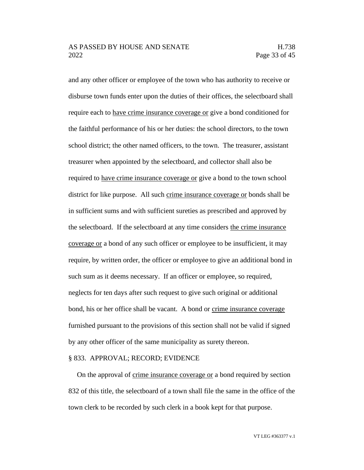and any other officer or employee of the town who has authority to receive or disburse town funds enter upon the duties of their offices, the selectboard shall require each to have crime insurance coverage or give a bond conditioned for the faithful performance of his or her duties: the school directors, to the town school district; the other named officers, to the town. The treasurer, assistant treasurer when appointed by the selectboard, and collector shall also be required to have crime insurance coverage or give a bond to the town school district for like purpose. All such crime insurance coverage or bonds shall be in sufficient sums and with sufficient sureties as prescribed and approved by the selectboard. If the selectboard at any time considers the crime insurance coverage or a bond of any such officer or employee to be insufficient, it may require, by written order, the officer or employee to give an additional bond in such sum as it deems necessary. If an officer or employee, so required, neglects for ten days after such request to give such original or additional bond, his or her office shall be vacant. A bond or crime insurance coverage furnished pursuant to the provisions of this section shall not be valid if signed by any other officer of the same municipality as surety thereon.

#### § 833. APPROVAL; RECORD; EVIDENCE

On the approval of crime insurance coverage or a bond required by section 832 of this title, the selectboard of a town shall file the same in the office of the town clerk to be recorded by such clerk in a book kept for that purpose.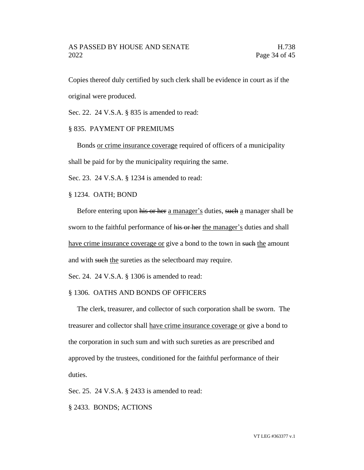Copies thereof duly certified by such clerk shall be evidence in court as if the original were produced.

Sec. 22. 24 V.S.A. § 835 is amended to read:

#### § 835. PAYMENT OF PREMIUMS

Bonds or crime insurance coverage required of officers of a municipality shall be paid for by the municipality requiring the same.

Sec. 23. 24 V.S.A. § 1234 is amended to read:

§ 1234. OATH; BOND

Before entering upon his or her a manager's duties, such a manager shall be sworn to the faithful performance of his or her the manager's duties and shall have crime insurance coverage or give a bond to the town in such the amount and with such the sureties as the selectboard may require.

Sec. 24. 24 V.S.A. § 1306 is amended to read:

## § 1306. OATHS AND BONDS OF OFFICERS

The clerk, treasurer, and collector of such corporation shall be sworn. The treasurer and collector shall have crime insurance coverage or give a bond to the corporation in such sum and with such sureties as are prescribed and approved by the trustees, conditioned for the faithful performance of their duties.

Sec. 25. 24 V.S.A. § 2433 is amended to read:

§ 2433. BONDS; ACTIONS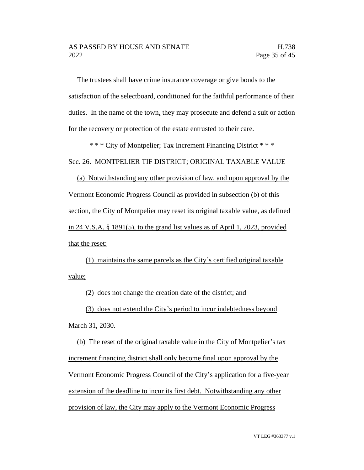The trustees shall have crime insurance coverage or give bonds to the satisfaction of the selectboard, conditioned for the faithful performance of their duties. In the name of the town, they may prosecute and defend a suit or action for the recovery or protection of the estate entrusted to their care.

\* \* \* City of Montpelier; Tax Increment Financing District \* \* \*

Sec. 26. MONTPELIER TIF DISTRICT; ORIGINAL TAXABLE VALUE

(a) Notwithstanding any other provision of law, and upon approval by the Vermont Economic Progress Council as provided in subsection (b) of this section, the City of Montpelier may reset its original taxable value, as defined in 24 V.S.A. § 1891(5), to the grand list values as of April 1, 2023, provided that the reset:

(1) maintains the same parcels as the City's certified original taxable value;

(2) does not change the creation date of the district; and

(3) does not extend the City's period to incur indebtedness beyond

March 31, 2030.

(b) The reset of the original taxable value in the City of Montpelier's tax increment financing district shall only become final upon approval by the Vermont Economic Progress Council of the City's application for a five-year extension of the deadline to incur its first debt. Notwithstanding any other provision of law, the City may apply to the Vermont Economic Progress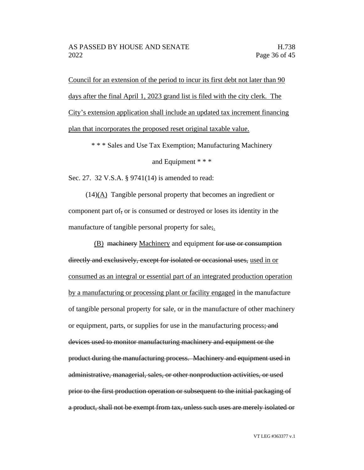Council for an extension of the period to incur its first debt not later than 90 days after the final April 1, 2023 grand list is filed with the city clerk. The City's extension application shall include an updated tax increment financing plan that incorporates the proposed reset original taxable value.

\* \* \* Sales and Use Tax Exemption; Manufacturing Machinery

and Equipment \* \* \*

Sec. 27. 32 V.S.A. § 9741(14) is amended to read:

(14)(A) Tangible personal property that becomes an ingredient or component part of, or is consumed or destroyed or loses its identity in the manufacture of tangible personal property for sale;

(B) machinery Machinery and equipment for use or consumption directly and exclusively, except for isolated or occasional uses, used in or consumed as an integral or essential part of an integrated production operation by a manufacturing or processing plant or facility engaged in the manufacture of tangible personal property for sale, or in the manufacture of other machinery or equipment, parts, or supplies for use in the manufacturing process; and devices used to monitor manufacturing machinery and equipment or the product during the manufacturing process. Machinery and equipment used in administrative, managerial, sales, or other nonproduction activities, or used prior to the first production operation or subsequent to the initial packaging of a product, shall not be exempt from tax, unless such uses are merely isolated or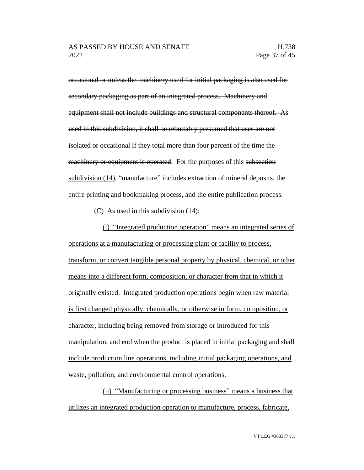occasional or unless the machinery used for initial packaging is also used for secondary packaging as part of an integrated process. Machinery and equipment shall not include buildings and structural components thereof. As used in this subdivision, it shall be rebuttably presumed that uses are not isolated or occasional if they total more than four percent of the time the machinery or equipment is operated. For the purposes of this subsection subdivision (14), "manufacture" includes extraction of mineral deposits, the entire printing and bookmaking process, and the entire publication process.

(C) As used in this subdivision (14):

(i) "Integrated production operation" means an integrated series of operations at a manufacturing or processing plant or facility to process, transform, or convert tangible personal property by physical, chemical, or other means into a different form, composition, or character from that in which it originally existed. Integrated production operations begin when raw material is first changed physically, chemically, or otherwise in form, composition, or character, including being removed from storage or introduced for this manipulation, and end when the product is placed in initial packaging and shall include production line operations, including initial packaging operations, and waste, pollution, and environmental control operations.

(ii) "Manufacturing or processing business" means a business that utilizes an integrated production operation to manufacture, process, fabricate,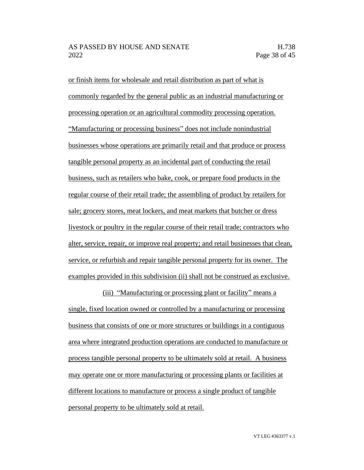or finish items for wholesale and retail distribution as part of what is commonly regarded by the general public as an industrial manufacturing or processing operation or an agricultural commodity processing operation. "Manufacturing or processing business" does not include nonindustrial businesses whose operations are primarily retail and that produce or process tangible personal property as an incidental part of conducting the retail business, such as retailers who bake, cook, or prepare food products in the regular course of their retail trade; the assembling of product by retailers for sale; grocery stores, meat lockers, and meat markets that butcher or dress livestock or poultry in the regular course of their retail trade; contractors who alter, service, repair, or improve real property; and retail businesses that clean, service, or refurbish and repair tangible personal property for its owner. The examples provided in this subdivision (ii) shall not be construed as exclusive.

(iii) "Manufacturing or processing plant or facility" means a single, fixed location owned or controlled by a manufacturing or processing business that consists of one or more structures or buildings in a contiguous area where integrated production operations are conducted to manufacture or process tangible personal property to be ultimately sold at retail. A business may operate one or more manufacturing or processing plants or facilities at different locations to manufacture or process a single product of tangible personal property to be ultimately sold at retail.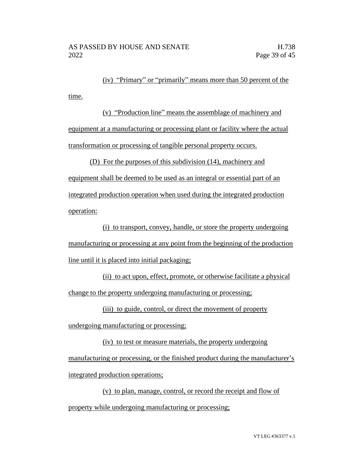(iv) "Primary" or "primarily" means more than 50 percent of the time.

(v) "Production line" means the assemblage of machinery and equipment at a manufacturing or processing plant or facility where the actual transformation or processing of tangible personal property occurs.

(D) For the purposes of this subdivision (14), machinery and equipment shall be deemed to be used as an integral or essential part of an integrated production operation when used during the integrated production operation:

(i) to transport, convey, handle, or store the property undergoing manufacturing or processing at any point from the beginning of the production line until it is placed into initial packaging;

(ii) to act upon, effect, promote, or otherwise facilitate a physical change to the property undergoing manufacturing or processing;

(iii) to guide, control, or direct the movement of property

undergoing manufacturing or processing;

(iv) to test or measure materials, the property undergoing manufacturing or processing, or the finished product during the manufacturer's integrated production operations;

(v) to plan, manage, control, or record the receipt and flow of property while undergoing manufacturing or processing;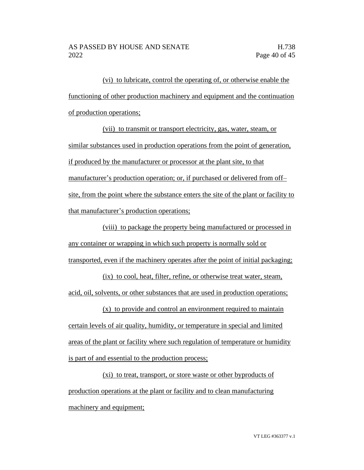(vi) to lubricate, control the operating of, or otherwise enable the functioning of other production machinery and equipment and the continuation of production operations;

(vii) to transmit or transport electricity, gas, water, steam, or similar substances used in production operations from the point of generation, if produced by the manufacturer or processor at the plant site, to that manufacturer's production operation; or, if purchased or delivered from off– site, from the point where the substance enters the site of the plant or facility to that manufacturer's production operations;

(viii) to package the property being manufactured or processed in any container or wrapping in which such property is normally sold or transported, even if the machinery operates after the point of initial packaging;

(ix) to cool, heat, filter, refine, or otherwise treat water, steam, acid, oil, solvents, or other substances that are used in production operations;

(x) to provide and control an environment required to maintain certain levels of air quality, humidity, or temperature in special and limited areas of the plant or facility where such regulation of temperature or humidity is part of and essential to the production process;

(xi) to treat, transport, or store waste or other byproducts of production operations at the plant or facility and to clean manufacturing machinery and equipment;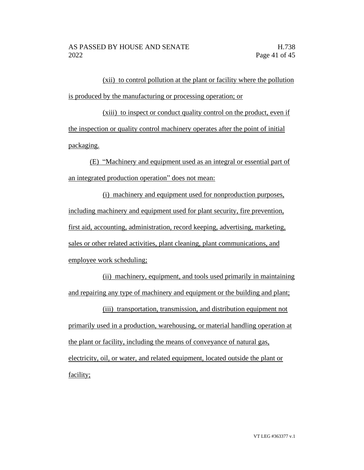(xii) to control pollution at the plant or facility where the pollution is produced by the manufacturing or processing operation; or

(xiii) to inspect or conduct quality control on the product, even if the inspection or quality control machinery operates after the point of initial packaging.

(E) "Machinery and equipment used as an integral or essential part of an integrated production operation" does not mean:

(i) machinery and equipment used for nonproduction purposes, including machinery and equipment used for plant security, fire prevention, first aid, accounting, administration, record keeping, advertising, marketing, sales or other related activities, plant cleaning, plant communications, and employee work scheduling;

(ii) machinery, equipment, and tools used primarily in maintaining and repairing any type of machinery and equipment or the building and plant;

(iii) transportation, transmission, and distribution equipment not primarily used in a production, warehousing, or material handling operation at the plant or facility, including the means of conveyance of natural gas, electricity, oil, or water, and related equipment, located outside the plant or facility;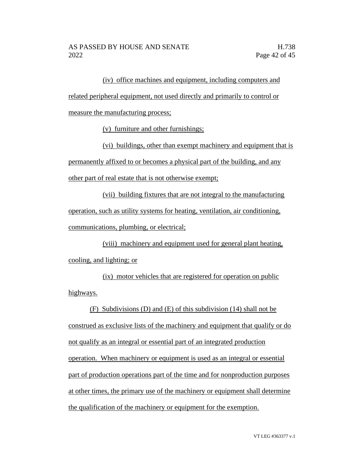(iv) office machines and equipment, including computers and related peripheral equipment, not used directly and primarily to control or measure the manufacturing process;

(v) furniture and other furnishings;

(vi) buildings, other than exempt machinery and equipment that is permanently affixed to or becomes a physical part of the building, and any other part of real estate that is not otherwise exempt;

(vii) building fixtures that are not integral to the manufacturing operation, such as utility systems for heating, ventilation, air conditioning, communications, plumbing, or electrical;

(viii) machinery and equipment used for general plant heating, cooling, and lighting; or

(ix) motor vehicles that are registered for operation on public highways.

(F) Subdivisions (D) and (E) of this subdivision (14) shall not be construed as exclusive lists of the machinery and equipment that qualify or do not qualify as an integral or essential part of an integrated production operation. When machinery or equipment is used as an integral or essential part of production operations part of the time and for nonproduction purposes at other times, the primary use of the machinery or equipment shall determine the qualification of the machinery or equipment for the exemption.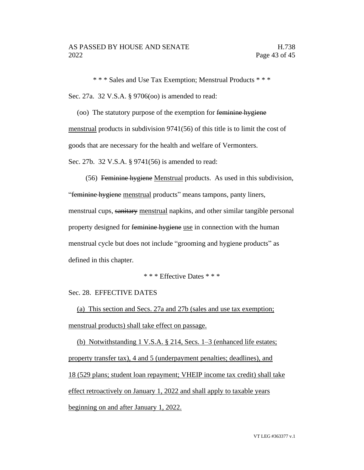\* \* \* Sales and Use Tax Exemption; Menstrual Products \* \* \* Sec. 27a. 32 V.S.A. § 9706(oo) is amended to read:

(oo) The statutory purpose of the exemption for feminine hygiene menstrual products in subdivision 9741(56) of this title is to limit the cost of goods that are necessary for the health and welfare of Vermonters. Sec. 27b. 32 V.S.A. § 9741(56) is amended to read:

(56) Feminine hygiene Menstrual products. As used in this subdivision, "feminine hygiene menstrual products" means tampons, panty liners, menstrual cups, sanitary menstrual napkins, and other similar tangible personal property designed for feminine hygiene use in connection with the human menstrual cycle but does not include "grooming and hygiene products" as defined in this chapter.

\* \* \* Effective Dates \* \* \*

Sec. 28. EFFECTIVE DATES

(a) This section and Secs. 27a and 27b (sales and use tax exemption; menstrual products) shall take effect on passage.

(b) Notwithstanding 1 V.S.A. § 214, Secs. 1–3 (enhanced life estates; property transfer tax), 4 and 5 (underpayment penalties; deadlines), and 18 (529 plans; student loan repayment; VHEIP income tax credit) shall take effect retroactively on January 1, 2022 and shall apply to taxable years beginning on and after January 1, 2022.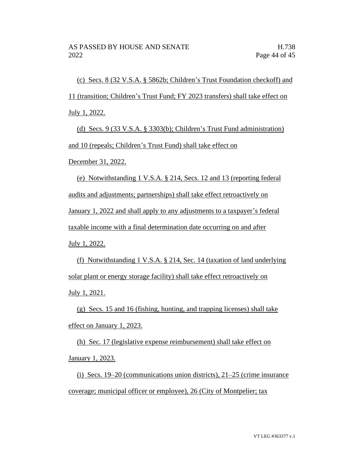(c) Secs. 8 (32 V.S.A. § 5862b; Children's Trust Foundation checkoff) and 11 (transition; Children's Trust Fund; FY 2023 transfers) shall take effect on July 1, 2022.

(d) Secs. 9 (33 V.S.A. § 3303(b); Children's Trust Fund administration) and 10 (repeals; Children's Trust Fund) shall take effect on

December 31, 2022.

(e) Notwithstanding 1 V.S.A. § 214, Secs. 12 and 13 (reporting federal audits and adjustments; partnerships) shall take effect retroactively on January 1, 2022 and shall apply to any adjustments to a taxpayer's federal taxable income with a final determination date occurring on and after July 1, 2022.

(f) Notwithstanding 1 V.S.A. § 214, Sec. 14 (taxation of land underlying solar plant or energy storage facility) shall take effect retroactively on July 1, 2021.

(g) Secs. 15 and 16 (fishing, hunting, and trapping licenses) shall take effect on January 1, 2023.

(h) Sec. 17 (legislative expense reimbursement) shall take effect on January 1, 2023.

(i) Secs. 19–20 (communications union districts), 21–25 (crime insurance coverage; municipal officer or employee), 26 (City of Montpelier; tax